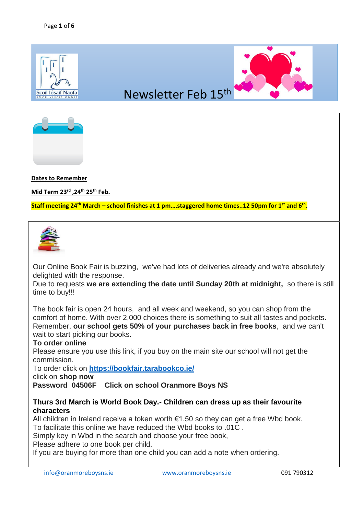



Newsletter Feb 15th



#### **Dates to Remember**

**Mid Term 23rd ,24th 25th Feb.**

**Staff meeting 24th March – school finishes at 1 pm….staggered home times..12 50pm for 1st and 6th .**



Our Online Book Fair is buzzing, we've had lots of deliveries already and we're absolutely delighted with the response.

Due to requests **we are extending the date until Sunday 20th at midnight,** so there is still time to buy!!!

The book fair is open 24 hours, and all week and weekend, so you can shop from the comfort of home. With over 2,000 choices there is something to suit all tastes and pockets. Remember, **our school gets 50% of your purchases back in free books**, and we can't wait to start picking our books.

### **To order online**

Please ensure you use this link, if you buy on the main site our school will not get the commission.

To order click on **<https://bookfair.tarabookco.ie/>**

click on **shop now**

**Password 04506F Click on school Oranmore Boys NS**

### **Thurs 3rd March is World Book Day.- Children can dress up as their favourite characters**

All children in Ireland receive a token worth  $\epsilon$ 1.50 so they can get a free Wbd book. To facilitate this online we have reduced the Wbd books to .01C .

Simply key in Wbd in the search and choose your free book,

Please adhere to one book per child.

If you are buying for more than one child you can add a note when ordering.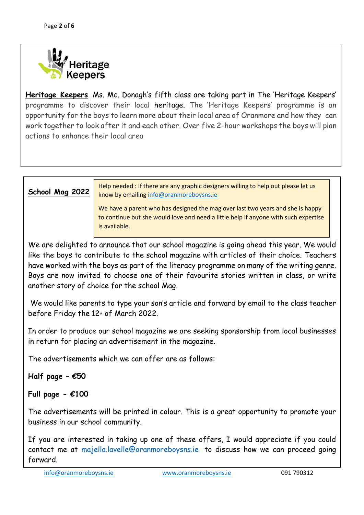

**Heritage Keepers** Ms. Mc. Donagh's fifth class are taking part in The 'Heritage Keepers' programme to discover their local heritage. The 'Heritage Keepers' programme is an opportunity for the boys to learn more about their local area of Oranmore and how they can work together to look after it and each other. Over five 2-hour workshops the boys will plan actions to enhance their local area

# **School Mag 2022**

Help needed : If there are any graphic designers willing to help out please let us know by emailing [info@oranmoreboysns.ie](mailto:info@oranmoreboysns.ie)

We have a parent who has designed the mag over last two years and she is happy to continue but she would love and need a little help if anyone with such expertise is available.

We are delighted to announce that our school magazine is going ahead this year. We would like the boys to contribute to the school magazine with articles of their choice. Teachers have worked with the boys as part of the literacy programme on many of the writing genre. Boys are now invited to choose one of their favourite stories written in class, or write another story of choice for the school Mag.

We would like parents to type your son's article and forward by email to the class teacher before Friday the  $12<sup>th</sup>$  of March 2022.

In order to produce our school magazine we are seeking sponsorship from local businesses in return for placing an advertisement in the magazine.

The advertisements which we can offer are as follows:

**Half page – €50**

### **Full page - €100**

The advertisements will be printed in colour. This is a great opportunity to promote your business in our school community.

If you are interested in taking up one of these offers, I would appreciate if you could contact me at majella.lavelle@oranmoreboysns.ie to discuss how we can proceed going forward.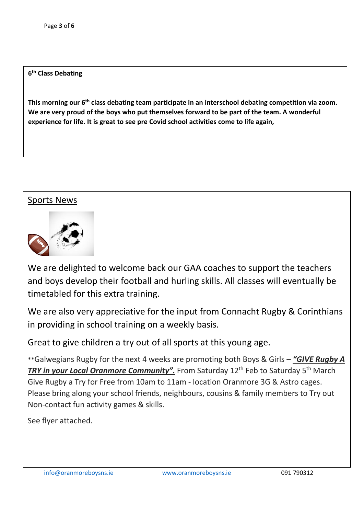#### **6 th Class Debating**

**This morning our 6th class debating team participate in an interschool debating competition via zoom. We are very proud of the boys who put themselves forward to be part of the team. A wonderful experience for life. It is great to see pre Covid school activities come to life again,** 

## Sports News



We are delighted to welcome back our GAA coaches to support the teachers and boys develop their football and hurling skills. All classes will eventually be timetabled for this extra training.

We are also very appreciative for the input from Connacht Rugby & Corinthians in providing in school training on a weekly basis.

Great to give children a try out of all sports at this young age.

\*\*Galwegians Rugby for the next 4 weeks are promoting both Boys & Girls – *"GIVE Rugby A*  TRY in your Local Oranmore Community". From Saturday 12<sup>th</sup> Feb to Saturday 5<sup>th</sup> March Give Rugby a Try for Free from 10am to 11am - location Oranmore 3G & Astro cages. Please bring along your school friends, neighbours, cousins & family members to Try out Non-contact fun activity games & skills.

See flyer attached.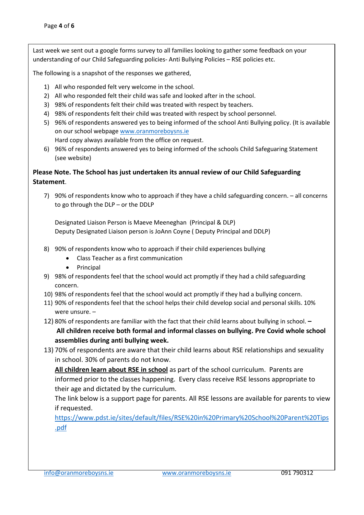Last week we sent out a google forms survey to all families looking to gather some feedback on your understanding of our Child Safeguarding policies- Anti Bullying Policies – RSE policies etc.

The following is a snapshot of the responses we gathered,

- 1) All who responded felt very welcome in the school.
- 2) All who responded felt their child was safe and looked after in the school.
- 3) 98% of respondents felt their child was treated with respect by teachers.
- 4) 98% of respondents felt their child was treated with respect by school personnel.
- 5) 96% of respondents answered yes to being informed of the school Anti Bullying policy. (It is available on our school webpag[e www.oranmoreboysns.ie](file:///C:/Users/Teacher/Desktop/www.oranmoreboysns.ie)
- Hard copy always available from the office on request. 6) 96% of respondents answered yes to being informed of the schools Child Safeguaring Statement
- (see website)

### **Please Note. The School has just undertaken its annual review of our Child Safeguarding Statement**.

7) 90% of respondents know who to approach if they have a child safeguarding concern. – all concerns to go through the DLP – or the DDLP

Designated Liaison Person is Maeve Meeneghan (Principal & DLP) Deputy Designated Liaison person is JoAnn Coyne ( Deputy Principal and DDLP)

- 8) 90% of respondents know who to approach if their child experiences bullying
	- Class Teacher as a first communication
	- Principal
- 9) 98% of respondents feel that the school would act promptly if they had a child safeguarding concern.
- 10) 98% of respondents feel that the school would act promptly if they had a bullying concern.
- 11) 90% of respondents feel that the school helps their child develop social and personal skills. 10% were unsure. –
- 12) 80% of respondents are familiar with the fact that their child learns about bullying in school. **– All children receive both formal and informal classes on bullying. Pre Covid whole school assemblies during anti bullying week.**
- 13) 70% of respondents are aware that their child learns about RSE relationships and sexuality in school. 30% of parents do not know.

**All children learn about RSE in school** as part of the school curriculum. Parents are informed prior to the classes happening. Every class receive RSE lessons appropriate to their age and dictated by the curriculum.

The link below is a support page for parents. All RSE lessons are available for parents to view if requested.

[https://www.pdst.ie/sites/default/files/RSE%20in%20Primary%20School%20Parent%20Tips](https://www.pdst.ie/sites/default/files/RSE%20in%20Primary%20School%20Parent%20Tips.pdf) [.pdf](https://www.pdst.ie/sites/default/files/RSE%20in%20Primary%20School%20Parent%20Tips.pdf)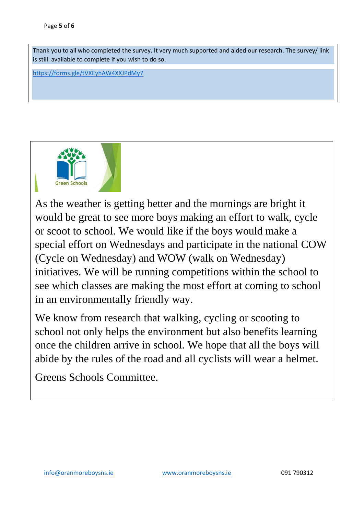Thank you to all who completed the survey. It very much supported and aided our research. The survey/ link is still available to complete if you wish to do so.

<https://forms.gle/tVXEyhAW4XXJPdMy7>



As the weather is getting better and the mornings are bright it would be great to see more boys making an effort to walk, cycle or scoot to school. We would like if the boys would make a special effort on Wednesdays and participate in the national COW (Cycle on Wednesday) and WOW (walk on Wednesday) initiatives. We will be running competitions within the school to see which classes are making the most effort at coming to school in an environmentally friendly way.

We know from research that walking, cycling or scooting to school not only helps the environment but also benefits learning once the children arrive in school. We hope that all the boys will abide by the rules of the road and all cyclists will wear a helmet.

Greens Schools Committee.